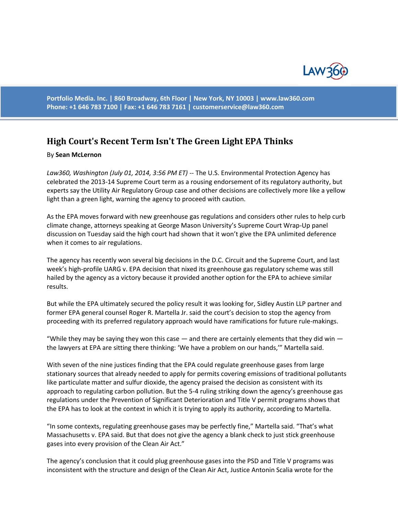

**Portfolio Media. Inc. | 860 Broadway, 6th Floor | New York, NY 10003 | www.law360.com Phone: +1 646 783 7100 | Fax: +1 646 783 7161 | [customerservice@law360.com](mailto:customerservice@law360.com)**

## **High Court's Recent Term Isn't The Green Light EPA Thinks**

## By **Sean McLernon**

Law360, Washington (July 01, 2014, 3:56 PM ET) -- The U.S. Environmental Protection Agency has celebrated the 2013-14 Supreme Court term as a rousing endorsement of its regulatory authority, but experts say the Utility Air Regulatory Group case and other decisions are collectively more like a yellow light than a green light, warning the agency to proceed with caution.

As the EPA moves forward with new greenhouse gas regulations and considers other rules to help curb climate change, attorneys speaking at George Mason University's Supreme Court Wrap-Up panel discussion on Tuesday said the high court had shown that it won't give the EPA unlimited deference when it comes to air regulations.

The agency has recently won several big decisions in the D.C. Circuit and the Supreme Court, and last week's high-profile UARG v. EPA decision that nixed its greenhouse gas regulatory scheme was still hailed by the agency as a victory because it provided another option for the EPA to achieve similar results.

But while the EPA ultimately secured the policy result it was looking for, Sidley Austin LLP partner and former EPA general counsel Roger R. Martella Jr. said the court's decision to stop the agency from proceeding with its preferred regulatory approach would have ramifications for future rule-makings.

"While they may be saying they won this case  $-$  and there are certainly elements that they did win  $$ the lawyers at EPA are sitting there thinking: 'We have a problem on our hands,'" Martella said.

With seven of the nine justices finding that the EPA could regulate greenhouse gases from large stationary sources that already needed to apply for permits covering emissions of traditional pollutants like particulate matter and sulfur dioxide, the agency praised the decision as consistent with its approach to regulating carbon pollution. But the 5-4 ruling striking down the agency's greenhouse gas regulations under the Prevention of Significant Deterioration and Title V permit programs shows that the EPA has to look at the context in which it is trying to apply its authority, according to Martella.

"In some contexts, regulating greenhouse gases may be perfectly fine," Martella said. "That's what Massachusetts v. EPA said. But that does not give the agency a blank check to just stick greenhouse gases into every provision of the Clean Air Act."

The agency's conclusion that it could plug greenhouse gases into the PSD and Title V programs was inconsistent with the structure and design of the Clean Air Act, Justice Antonin Scalia wrote for the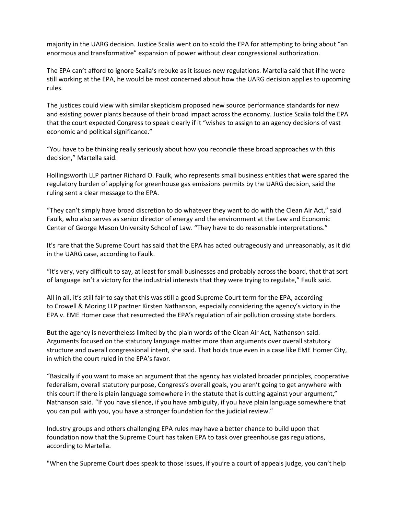majority in the UARG decision. Justice Scalia went on to scold the EPA for attempting to bring about "an enormous and transformative" expansion of power without clear congressional authorization.

The EPA can't afford to ignore Scalia's rebuke as it issues new regulations. Martella said that if he were still working at the EPA, he would be most concerned about how the UARG decision applies to upcoming rules.

The justices could view with similar skepticism proposed new source performance standards for new and existing power plants because of their broad impact across the economy. Justice Scalia told the EPA that the court expected Congress to speak clearly if it "wishes to assign to an agency decisions of vast economic and political significance."

"You have to be thinking really seriously about how you reconcile these broad approaches with this decision," Martella said.

Hollingsworth LLP partner Richard O. Faulk, who represents small business entities that were spared the regulatory burden of applying for greenhouse gas emissions permits by the UARG decision, said the ruling sent a clear message to the EPA.

"They can't simply have broad discretion to do whatever they want to do with the Clean Air Act," said Faulk, who also serves as senior director of energy and the environment at the Law and Economic Center of George Mason University School of Law. "They have to do reasonable interpretations."

It's rare that the Supreme Court has said that the EPA has acted outrageously and unreasonably, as it did in the UARG case, according to Faulk.

"It's very, very difficult to say, at least for small businesses and probably across the board, that that sort of language isn't a victory for the industrial interests that they were trying to regulate," Faulk said.

All in all, it's still fair to say that this was still a good Supreme Court term for the EPA, according to Crowell & Moring LLP partner Kirsten Nathanson, especially considering the agency's victory in the EPA v. EME Homer case that resurrected the EPA's regulation of air pollution crossing state borders.

But the agency is nevertheless limited by the plain words of the Clean Air Act, Nathanson said. Arguments focused on the statutory language matter more than arguments over overall statutory structure and overall congressional intent, she said. That holds true even in a case like EME Homer City, in which the court ruled in the EPA's favor.

"Basically if you want to make an argument that the agency has violated broader principles, cooperative federalism, overall statutory purpose, Congress's overall goals, you aren't going to get anywhere with this court if there is plain language somewhere in the statute that is cutting against your argument," Nathanson said. "If you have silence, if you have ambiguity, if you have plain language somewhere that you can pull with you, you have a stronger foundation for the judicial review."

Industry groups and others challenging EPA rules may have a better chance to build upon that foundation now that the Supreme Court has taken EPA to task over greenhouse gas regulations, according to Martella.

"When the Supreme Court does speak to those issues, if you're a court of appeals judge, you can't help